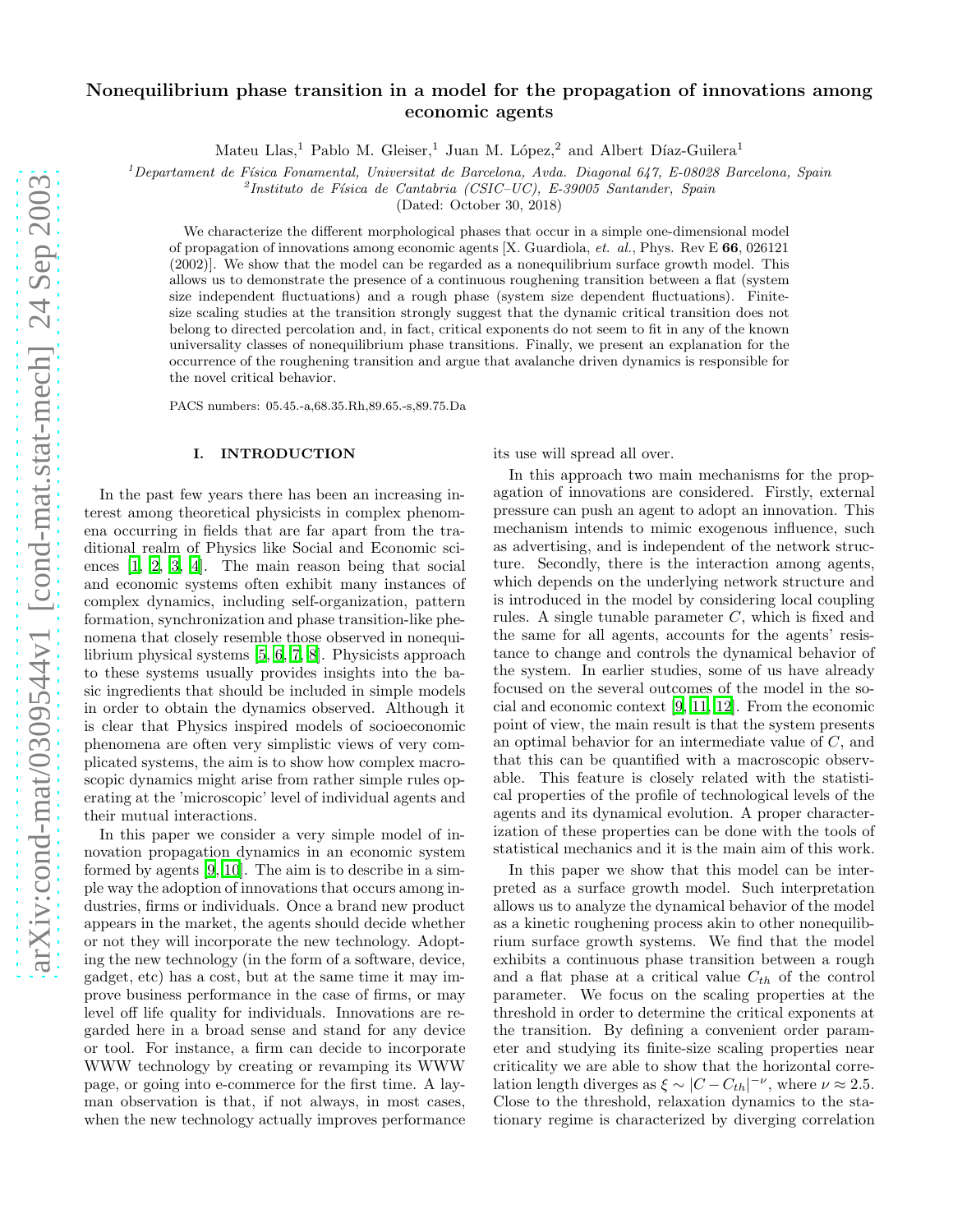# Nonequilibrium phase transition in a model for the propagation of innovations among economic agents

Mateu Llas,<sup>1</sup> Pablo M. Gleiser,<sup>1</sup> Juan M. López,<sup>2</sup> and Albert Díaz-Guilera<sup>1</sup>

<sup>1</sup>*Departament de F´ısica Fonamental, Universitat de Barcelona, Avda. Diagonal 647, E-08028 Barcelona, Spain*

2 *Instituto de F´ısica de Cantabria (CSIC–UC), E-39005 Santander, Spain*

(Dated: October 30, 2018)

We characterize the different morphological phases that occur in a simple one-dimensional model of propagation of innovations among economic agents [X. Guardiola, *et. al.*, Phys. Rev E 66, 026121 (2002)]. We show that the model can be regarded as a nonequilibrium surface growth model. This allows us to demonstrate the presence of a continuous roughening transition between a flat (system size independent fluctuations) and a rough phase (system size dependent fluctuations). Finitesize scaling studies at the transition strongly suggest that the dynamic critical transition does not belong to directed percolation and, in fact, critical exponents do not seem to fit in any of the known universality classes of nonequilibrium phase transitions. Finally, we present an explanation for the occurrence of the roughening transition and argue that avalanche driven dynamics is responsible for the novel critical behavior.

PACS numbers: 05.45.-a,68.35.Rh,89.65.-s,89.75.Da

### I. INTRODUCTION

In the past few years there has been an increasing interest among theoretical physicists in complex phenomena occurring in fields that are far apart from the traditional realm of Physics like Social and Economic sciences [\[1](#page-5-0), [2](#page-5-1), [3](#page-5-2), [4](#page-5-3)]. The main reason being that social and economic systems often exhibit many instances of complex dynamics, including self-organization, pattern formation, synchronization and phase transition-like phenomena that closely resemble those observed in nonequilibrium physical systems [\[5](#page-5-4), [6,](#page-5-5) [7,](#page-5-6) [8\]](#page-5-7). Physicists approach to these systems usually provides insights into the basic ingredients that should be included in simple models in order to obtain the dynamics observed. Although it is clear that Physics inspired models of socioeconomic phenomena are often very simplistic views of very complicated systems, the aim is to show how complex macroscopic dynamics might arise from rather simple rules operating at the 'microscopic' level of individual agents and their mutual interactions.

In this paper we consider a very simple model of innovation propagation dynamics in an economic system formed by agents [\[9](#page-5-8), [10\]](#page-5-9). The aim is to describe in a simple way the adoption of innovations that occurs among industries, firms or individuals. Once a brand new product appears in the market, the agents should decide whether or not they will incorporate the new technology. Adopting the new technology (in the form of a software, device, gadget, etc) has a cost, but at the same time it may improve business performance in the case of firms, or may level off life quality for individuals. Innovations are regarded here in a broad sense and stand for any device or tool. For instance, a firm can decide to incorporate WWW technology by creating or revamping its WWW page, or going into e-commerce for the first time. A layman observation is that, if not always, in most cases, when the new technology actually improves performance

its use will spread all over.

In this approach two main mechanisms for the propagation of innovations are considered. Firstly, external pressure can push an agent to adopt an innovation. This mechanism intends to mimic exogenous influence, such as advertising, and is independent of the network structure. Secondly, there is the interaction among agents, which depends on the underlying network structure and is introduced in the model by considering local coupling rules. A single tunable parameter  $C$ , which is fixed and the same for all agents, accounts for the agents' resistance to change and controls the dynamical behavior of the system. In earlier studies, some of us have already focused on the several outcomes of the model in the social and economic context [\[9,](#page-5-8) [11,](#page-5-10) [12](#page-5-11)]. From the economic point of view, the main result is that the system presents an optimal behavior for an intermediate value of C, and that this can be quantified with a macroscopic observable. This feature is closely related with the statistical properties of the profile of technological levels of the agents and its dynamical evolution. A proper characterization of these properties can be done with the tools of statistical mechanics and it is the main aim of this work.

In this paper we show that this model can be interpreted as a surface growth model. Such interpretation allows us to analyze the dynamical behavior of the model as a kinetic roughening process akin to other nonequilibrium surface growth systems. We find that the model exhibits a continuous phase transition between a rough and a flat phase at a critical value  $C_{th}$  of the control parameter. We focus on the scaling properties at the threshold in order to determine the critical exponents at the transition. By defining a convenient order parameter and studying its finite-size scaling properties near criticality we are able to show that the horizontal correlation length diverges as  $\xi \sim |C - C_{th}|^{-\nu}$ , where  $\nu \approx 2.5$ . Close to the threshold, relaxation dynamics to the stationary regime is characterized by diverging correlation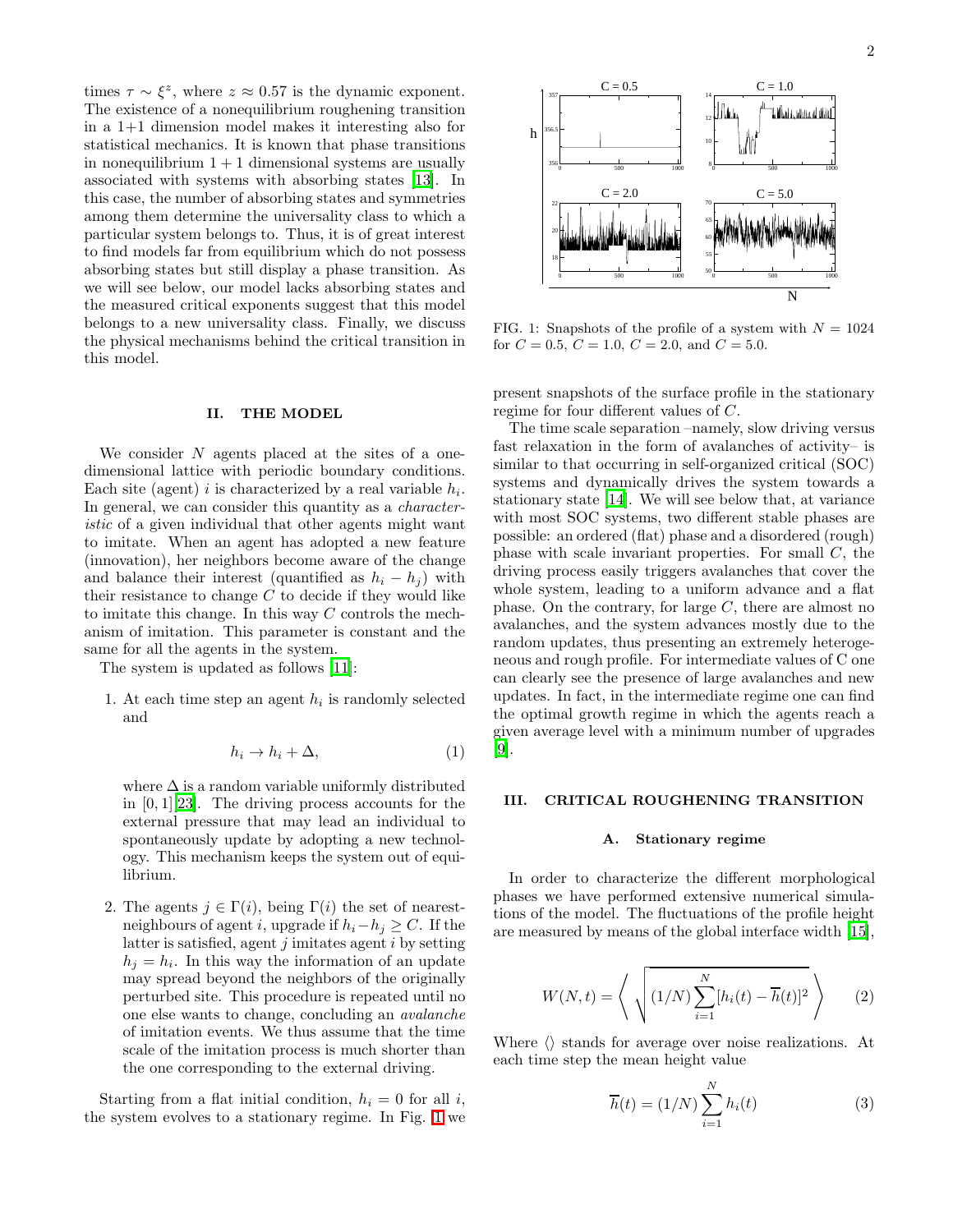times  $\tau \sim \xi^z$ , where  $z \approx 0.57$  is the dynamic exponent. The existence of a nonequilibrium roughening transition in a 1+1 dimension model makes it interesting also for statistical mechanics. It is known that phase transitions in nonequilibrium  $1 + 1$  dimensional systems are usually associated with systems with absorbing states [\[13\]](#page-5-12). In this case, the number of absorbing states and symmetries among them determine the universality class to which a particular system belongs to. Thus, it is of great interest to find models far from equilibrium which do not possess absorbing states but still display a phase transition. As we will see below, our model lacks absorbing states and the measured critical exponents suggest that this model belongs to a new universality class. Finally, we discuss the physical mechanisms behind the critical transition in this model.

### II. THE MODEL

We consider  $N$  agents placed at the sites of a onedimensional lattice with periodic boundary conditions. Each site (agent) *i* is characterized by a real variable  $h_i$ . In general, we can consider this quantity as a *character*istic of a given individual that other agents might want to imitate. When an agent has adopted a new feature (innovation), her neighbors become aware of the change and balance their interest (quantified as  $h_i - h_j$ ) with their resistance to change  $C$  to decide if they would like to imitate this change. In this way  $C$  controls the mechanism of imitation. This parameter is constant and the same for all the agents in the system.

The system is updated as follows [\[11](#page-5-10)]:

1. At each time step an agent  $h_i$  is randomly selected and

$$
h_i \to h_i + \Delta,\tag{1}
$$

where  $\Delta$  is a random variable uniformly distributed in  $[0, 1]$ [\[23\]](#page-5-13). The driving process accounts for the external pressure that may lead an individual to spontaneously update by adopting a new technology. This mechanism keeps the system out of equilibrium.

2. The agents  $j \in \Gamma(i)$ , being  $\Gamma(i)$  the set of nearestneighbours of agent i, upgrade if  $h_i-h_j \geq C$ . If the latter is satisfied, agent  $j$  imitates agent  $i$  by setting  $h_j = h_i$ . In this way the information of an update may spread beyond the neighbors of the originally perturbed site. This procedure is repeated until no one else wants to change, concluding an avalanche of imitation events. We thus assume that the time scale of the imitation process is much shorter than the one corresponding to the external driving.

Starting from a flat initial condition,  $h_i = 0$  for all i, the system evolves to a stationary regime. In Fig. [1](#page-1-0) we



<span id="page-1-0"></span>FIG. 1: Snapshots of the profile of a system with  $N = 1024$ for  $C = 0.5$ ,  $C = 1.0$ ,  $C = 2.0$ , and  $C = 5.0$ .

present snapshots of the surface profile in the stationary regime for four different values of C.

The time scale separation –namely, slow driving versus fast relaxation in the form of avalanches of activity– is similar to that occurring in self-organized critical (SOC) systems and dynamically drives the system towards a stationary state [\[14](#page-5-14)]. We will see below that, at variance with most SOC systems, two different stable phases are possible: an ordered (flat) phase and a disordered (rough) phase with scale invariant properties. For small C, the driving process easily triggers avalanches that cover the whole system, leading to a uniform advance and a flat phase. On the contrary, for large  $C$ , there are almost no avalanches, and the system advances mostly due to the random updates, thus presenting an extremely heterogeneous and rough profile. For intermediate values of C one can clearly see the presence of large avalanches and new updates. In fact, in the intermediate regime one can find the optimal growth regime in which the agents reach a given average level with a minimum number of upgrades [\[9\]](#page-5-8).

#### III. CRITICAL ROUGHENING TRANSITION

### A. Stationary regime

In order to characterize the different morphological phases we have performed extensive numerical simulations of the model. The fluctuations of the profile height are measured by means of the global interface width [\[15\]](#page-5-15),

$$
W(N,t) = \left\langle \sqrt{(1/N)\sum_{i=1}^{N} [h_i(t) - \overline{h}(t)]^2} \right\rangle \tag{2}
$$

Where  $\langle \rangle$  stands for average over noise realizations. At each time step the mean height value

$$
\overline{h}(t) = (1/N) \sum_{i=1}^{N} h_i(t)
$$
\n(3)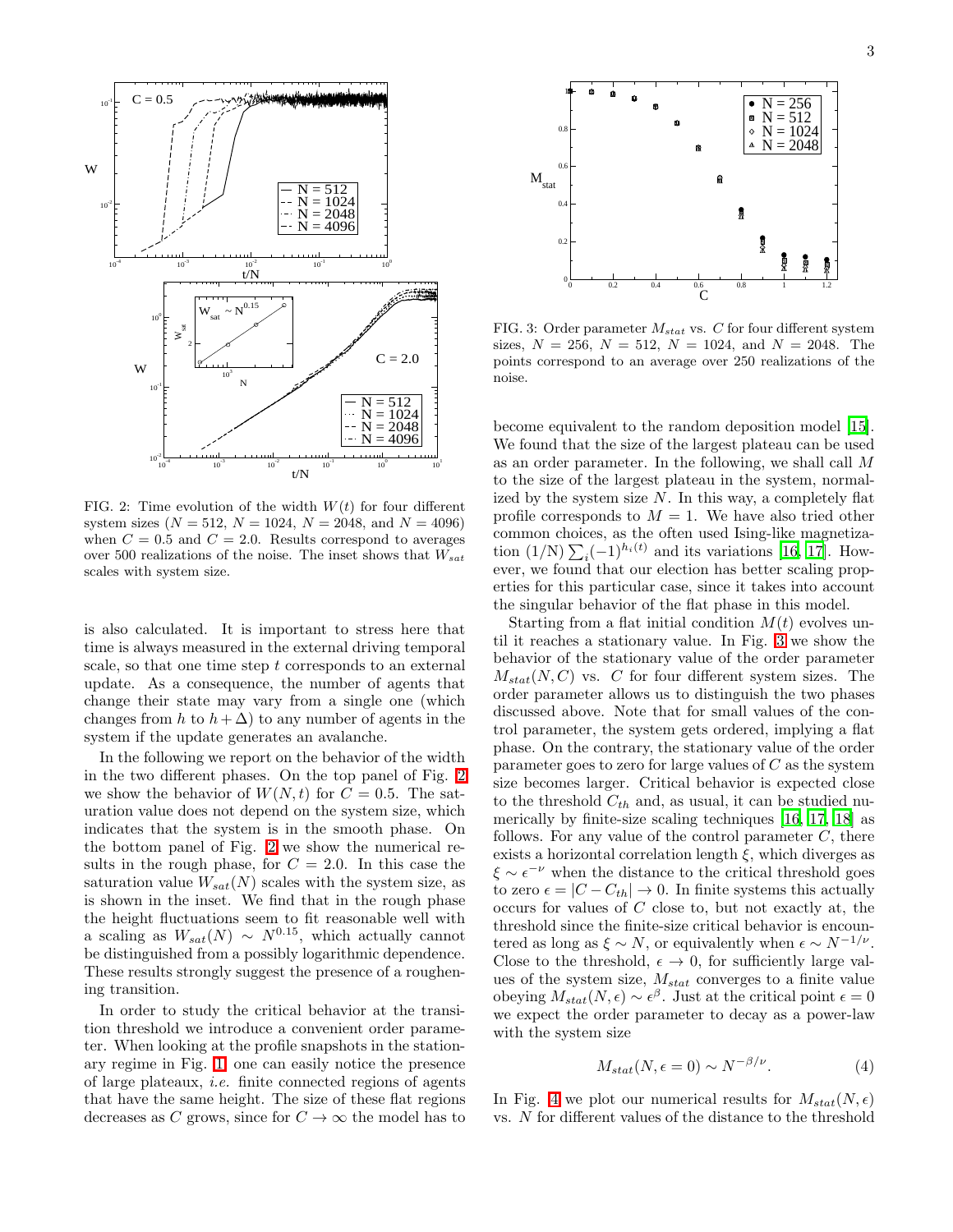

<span id="page-2-0"></span>FIG. 2: Time evolution of the width  $W(t)$  for four different system sizes ( $N = 512$ ,  $N = 1024$ ,  $N = 2048$ , and  $N = 4096$ ) when  $C = 0.5$  and  $C = 2.0$ . Results correspond to averages over 500 realizations of the noise. The inset shows that  $W_{sat}$ scales with system size.

is also calculated. It is important to stress here that time is always measured in the external driving temporal scale, so that one time step t corresponds to an external update. As a consequence, the number of agents that change their state may vary from a single one (which changes from h to  $h + \Delta$ ) to any number of agents in the system if the update generates an avalanche.

In the following we report on the behavior of the width in the two different phases. On the top panel of Fig. [2](#page-2-0) we show the behavior of  $W(N, t)$  for  $C = 0.5$ . The saturation value does not depend on the system size, which indicates that the system is in the smooth phase. On the bottom panel of Fig. [2](#page-2-0) we show the numerical results in the rough phase, for  $C = 2.0$ . In this case the saturation value  $W_{sat}(N)$  scales with the system size, as is shown in the inset. We find that in the rough phase the height fluctuations seem to fit reasonable well with a scaling as  $W_{sat}(N) \sim N^{0.15}$ , which actually cannot be distinguished from a possibly logarithmic dependence. These results strongly suggest the presence of a roughening transition.

In order to study the critical behavior at the transition threshold we introduce a convenient order parameter. When looking at the profile snapshots in the stationary regime in Fig. [1,](#page-1-0) one can easily notice the presence of large plateaux, i.e. finite connected regions of agents that have the same height. The size of these flat regions decreases as C grows, since for  $C \to \infty$  the model has to



<span id="page-2-1"></span>FIG. 3: Order parameter  $M_{stat}$  vs. C for four different system sizes,  $N = 256$ ,  $N = 512$ ,  $N = 1024$ , and  $N = 2048$ . The points correspond to an average over 250 realizations of the noise.

become equivalent to the random deposition model [\[15\]](#page-5-15). We found that the size of the largest plateau can be used as an order parameter. In the following, we shall call M to the size of the largest plateau in the system, normalized by the system size  $N$ . In this way, a completely flat profile corresponds to  $M = 1$ . We have also tried other common choices, as the often used Ising-like magnetization  $(1/N) \sum_i (-1)^{h_i(t)}$  and its variations [\[16,](#page-5-16) [17\]](#page-5-17). However, we found that our election has better scaling properties for this particular case, since it takes into account the singular behavior of the flat phase in this model.

Starting from a flat initial condition  $M(t)$  evolves until it reaches a stationary value. In Fig. [3](#page-2-1) we show the behavior of the stationary value of the order parameter  $M_{stat}(N, C)$  vs. C for four different system sizes. The order parameter allows us to distinguish the two phases discussed above. Note that for small values of the control parameter, the system gets ordered, implying a flat phase. On the contrary, the stationary value of the order parameter goes to zero for large values of  $C$  as the system size becomes larger. Critical behavior is expected close to the threshold  $C_{th}$  and, as usual, it can be studied numerically by finite-size scaling techniques [\[16,](#page-5-16) [17](#page-5-17), [18\]](#page-5-18) as follows. For any value of the control parameter  $C$ , there exists a horizontal correlation length  $\xi$ , which diverges as  $\xi \sim \epsilon^{-\nu}$  when the distance to the critical threshold goes to zero  $\epsilon = |C - C_{th}| \rightarrow 0$ . In finite systems this actually occurs for values of C close to, but not exactly at, the threshold since the finite-size critical behavior is encountered as long as  $\xi \sim N$ , or equivalently when  $\epsilon \sim N^{-1/\nu}$ . Close to the threshold,  $\epsilon \to 0$ , for sufficiently large values of the system size,  $M_{stat}$  converges to a finite value obeying  $M_{stat}(N, \epsilon) \sim \epsilon^{\beta}$ . Just at the critical point  $\epsilon = 0$ we expect the order parameter to decay as a power-law with the system size

$$
M_{stat}(N, \epsilon = 0) \sim N^{-\beta/\nu}.
$$
 (4)

In Fig. [4](#page-3-0) we plot our numerical results for  $M_{stat}(N, \epsilon)$ vs. N for different values of the distance to the threshold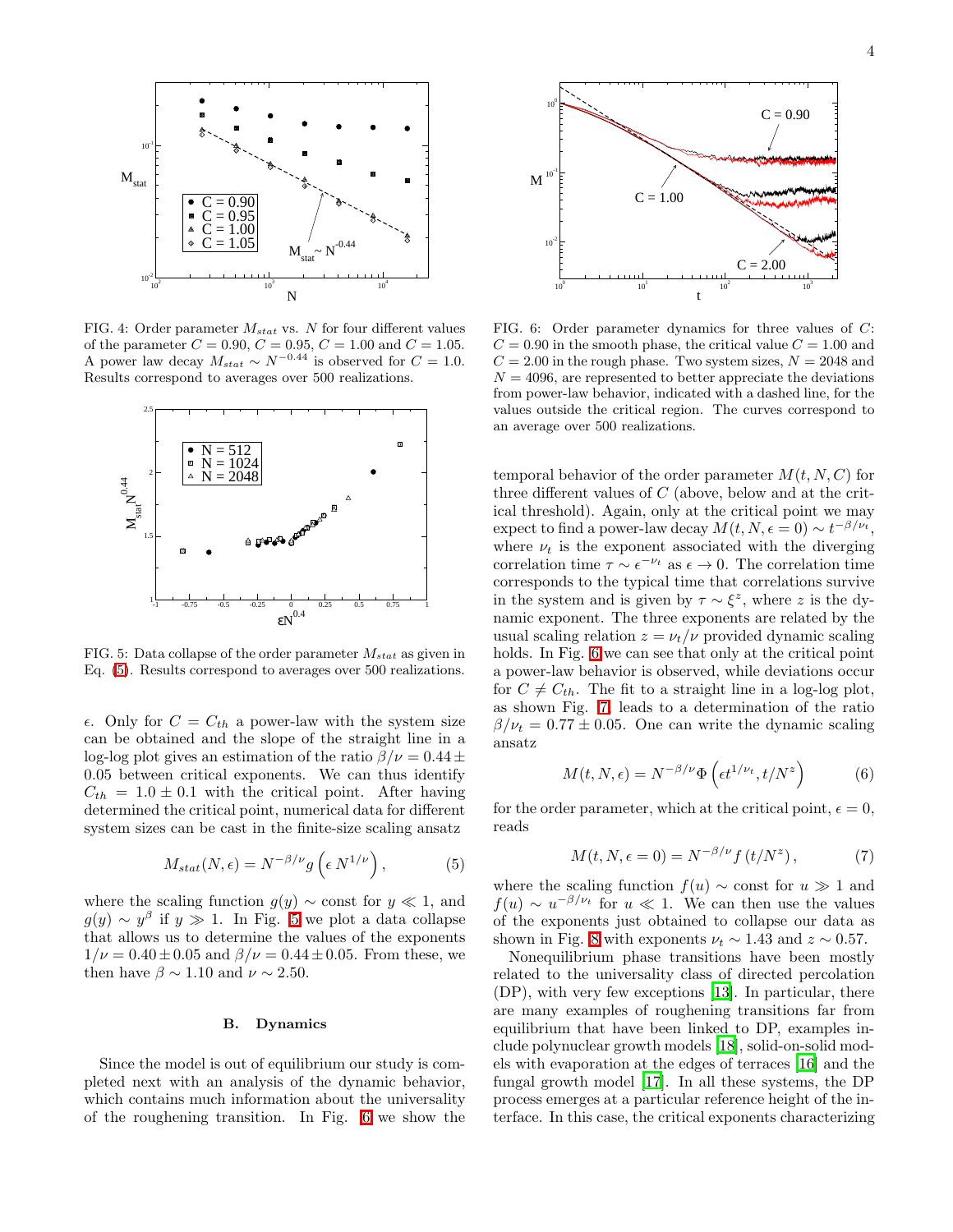

<span id="page-3-0"></span>FIG. 4: Order parameter  $M_{stat}$  vs. N for four different values of the parameter  $C = 0.90, C = 0.95, C = 1.00$  and  $C = 1.05$ . A power law decay  $M_{stat} \sim N^{-0.44}$  is observed for  $C = 1.0$ . Results correspond to averages over 500 realizations.



<span id="page-3-2"></span>FIG. 5: Data collapse of the order parameter  $M_{stat}$  as given in Eq. [\(5\)](#page-3-1). Results correspond to averages over 500 realizations.

 $\epsilon$ . Only for  $C = C_{th}$  a power-law with the system size can be obtained and the slope of the straight line in a log-log plot gives an estimation of the ratio  $\beta/\nu = 0.44 \pm$ 0.05 between critical exponents. We can thus identify  $C_{th} = 1.0 \pm 0.1$  with the critical point. After having determined the critical point, numerical data for different system sizes can be cast in the finite-size scaling ansatz

$$
M_{stat}(N,\epsilon) = N^{-\beta/\nu} g\left(\epsilon N^{1/\nu}\right),\tag{5}
$$

where the scaling function  $g(y) \sim$  const for  $y \ll 1$ , and  $g(y) \sim y^{\beta}$  if  $y \gg 1$ . In Fig. [5](#page-3-2) we plot a data collapse that allows us to determine the values of the exponents  $1/\nu = 0.40 \pm 0.05$  and  $\beta/\nu = 0.44 \pm 0.05$ . From these, we then have  $\beta \sim 1.10$  and  $\nu \sim 2.50$ .

## B. Dynamics

Since the model is out of equilibrium our study is completed next with an analysis of the dynamic behavior, which contains much information about the universality of the roughening transition. In Fig. [6](#page-3-3) we show the



<span id="page-3-3"></span>FIG. 6: Order parameter dynamics for three values of C:  $C = 0.90$  in the smooth phase, the critical value  $C = 1.00$  and  $C = 2.00$  in the rough phase. Two system sizes,  $N = 2048$  and  $N = 4096$ , are represented to better appreciate the deviations from power-law behavior, indicated with a dashed line, for the values outside the critical region. The curves correspond to an average over 500 realizations.

temporal behavior of the order parameter  $M(t, N, C)$  for three different values of C (above, below and at the critical threshold). Again, only at the critical point we may expect to find a power-law decay  $M(t, N, \epsilon = 0) \sim t^{-\beta/\nu_t}$ , where  $\nu_t$  is the exponent associated with the diverging correlation time  $\tau \sim \epsilon^{-\nu_t}$  as  $\epsilon \to 0$ . The correlation time corresponds to the typical time that correlations survive in the system and is given by  $\tau \sim \xi^z$ , where z is the dynamic exponent. The three exponents are related by the usual scaling relation  $z = \nu_t/\nu$  provided dynamic scaling holds. In Fig. [6](#page-3-3) we can see that only at the critical point a power-law behavior is observed, while deviations occur for  $C \neq C_{th}$ . The fit to a straight line in a log-log plot, as shown Fig. [7,](#page-4-0) leads to a determination of the ratio  $\beta/\nu_t = 0.77 \pm 0.05$ . One can write the dynamic scaling ansatz

$$
M(t, N, \epsilon) = N^{-\beta/\nu} \Phi\left(\epsilon t^{1/\nu_t}, t/N^z\right) \tag{6}
$$

<span id="page-3-4"></span><span id="page-3-1"></span>for the order parameter, which at the critical point,  $\epsilon = 0$ , reads

$$
M(t, N, \epsilon = 0) = N^{-\beta/\nu} f(t/N^z), \qquad (7)
$$

where the scaling function  $f(u) \sim$  const for  $u \gg 1$  and  $f(u) \sim u^{-\beta/\nu_t}$  for  $u \ll 1$ . We can then use the values of the exponents just obtained to collapse our data as shown in Fig. [8](#page-4-1) with exponents  $\nu_t \sim 1.43$  and  $z \sim 0.57$ .

Nonequilibrium phase transitions have been mostly related to the universality class of directed percolation (DP), with very few exceptions [\[13\]](#page-5-12). In particular, there are many examples of roughening transitions far from equilibrium that have been linked to DP, examples include polynuclear growth models [\[18](#page-5-18)], solid-on-solid models with evaporation at the edges of terraces [\[16](#page-5-16)] and the fungal growth model [\[17\]](#page-5-17). In all these systems, the DP process emerges at a particular reference height of the interface. In this case, the critical exponents characterizing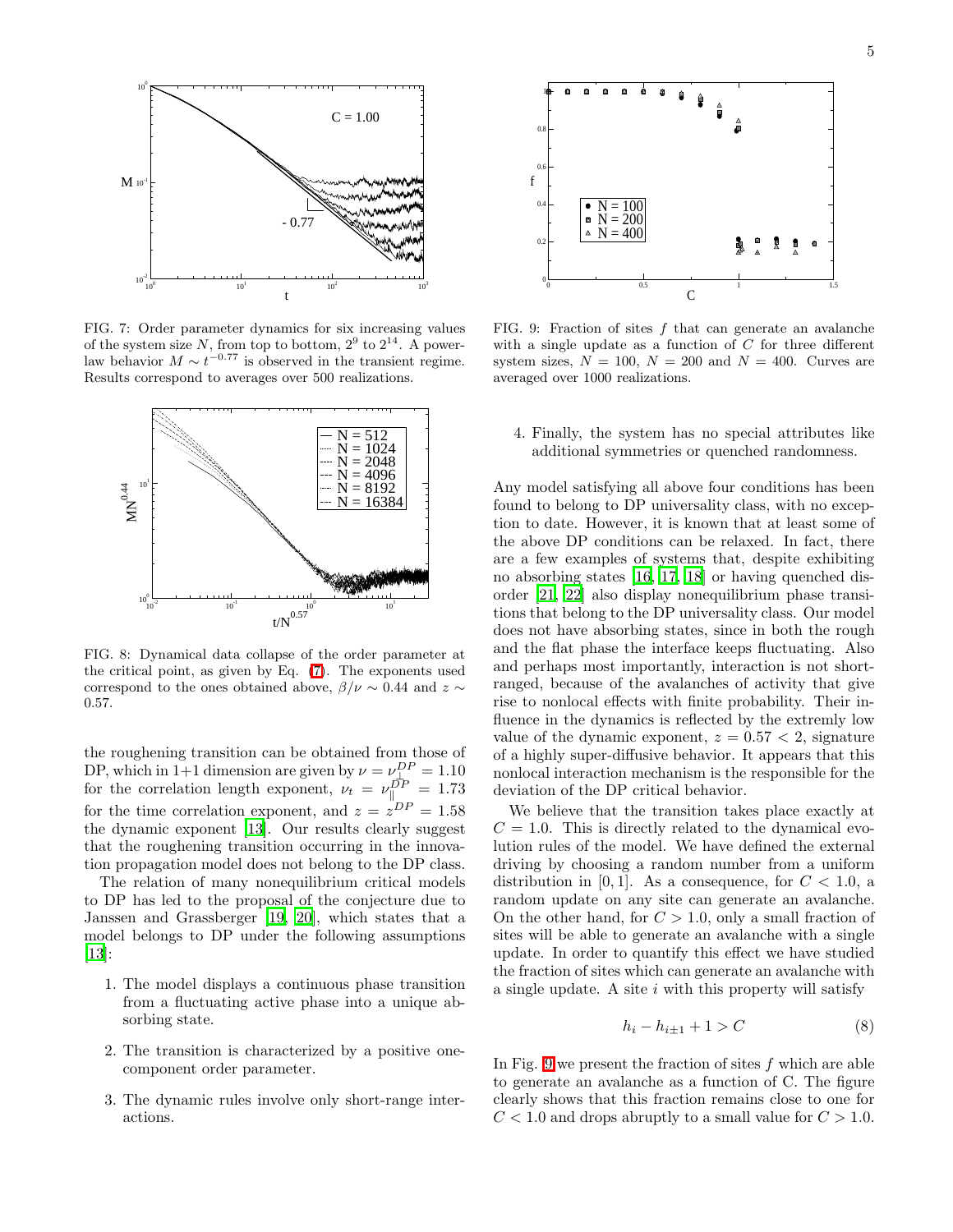

<span id="page-4-0"></span>FIG. 7: Order parameter dynamics for six increasing values of the system size N, from top to bottom,  $2^9$  to  $2^{14}$ . A powerlaw behavior  $M \sim t^{-0.77}$  is observed in the transient regime. Results correspond to averages over 500 realizations.



<span id="page-4-1"></span>FIG. 8: Dynamical data collapse of the order parameter at the critical point, as given by Eq. [\(7\)](#page-3-4). The exponents used correspond to the ones obtained above,  $\beta/\nu \sim 0.44$  and  $z \sim$ 0.57.

the roughening transition can be obtained from those of DP, which in 1+1 dimension are given by  $\nu = \nu_{\text{th}}^{DP} = 1.10$ for the correlation length exponent,  $\nu_t = \nu_{\parallel}^{DP} = 1.73$ for the time correlation exponent, and  $z = z^{DP} = 1.58$ the dynamic exponent [\[13](#page-5-12)]. Our results clearly suggest that the roughening transition occurring in the innovation propagation model does not belong to the DP class.

The relation of many nonequilibrium critical models to DP has led to the proposal of the conjecture due to Janssen and Grassberger [\[19,](#page-5-19) [20\]](#page-5-20), which states that a model belongs to DP under the following assumptions [\[13\]](#page-5-12):

- 1. The model displays a continuous phase transition from a fluctuating active phase into a unique absorbing state.
- 2. The transition is characterized by a positive onecomponent order parameter.
- 3. The dynamic rules involve only short-range interactions.



<span id="page-4-2"></span>FIG. 9: Fraction of sites  $f$  that can generate an avalanche with a single update as a function of  $C$  for three different system sizes,  $N = 100$ ,  $N = 200$  and  $N = 400$ . Curves are averaged over 1000 realizations.

4. Finally, the system has no special attributes like additional symmetries or quenched randomness.

Any model satisfying all above four conditions has been found to belong to DP universality class, with no exception to date. However, it is known that at least some of the above DP conditions can be relaxed. In fact, there are a few examples of systems that, despite exhibiting no absorbing states [\[16](#page-5-16), [17,](#page-5-17) [18](#page-5-18)] or having quenched disorder [\[21,](#page-5-21) [22\]](#page-5-22) also display nonequilibrium phase transitions that belong to the DP universality class. Our model does not have absorbing states, since in both the rough and the flat phase the interface keeps fluctuating. Also and perhaps most importantly, interaction is not shortranged, because of the avalanches of activity that give rise to nonlocal effects with finite probability. Their influence in the dynamics is reflected by the extremly low value of the dynamic exponent,  $z = 0.57 < 2$ , signature of a highly super-diffusive behavior. It appears that this nonlocal interaction mechanism is the responsible for the deviation of the DP critical behavior.

We believe that the transition takes place exactly at  $C = 1.0$ . This is directly related to the dynamical evolution rules of the model. We have defined the external driving by choosing a random number from a uniform distribution in [0, 1]. As a consequence, for  $C < 1.0$ , a random update on any site can generate an avalanche. On the other hand, for  $C > 1.0$ , only a small fraction of sites will be able to generate an avalanche with a single update. In order to quantify this effect we have studied the fraction of sites which can generate an avalanche with a single update. A site  $i$  with this property will satisfy

$$
h_i - h_{i \pm 1} + 1 > C \tag{8}
$$

In Fig. [9](#page-4-2) we present the fraction of sites  $f$  which are able to generate an avalanche as a function of C. The figure clearly shows that this fraction remains close to one for  $C < 1.0$  and drops abruptly to a small value for  $C > 1.0$ .